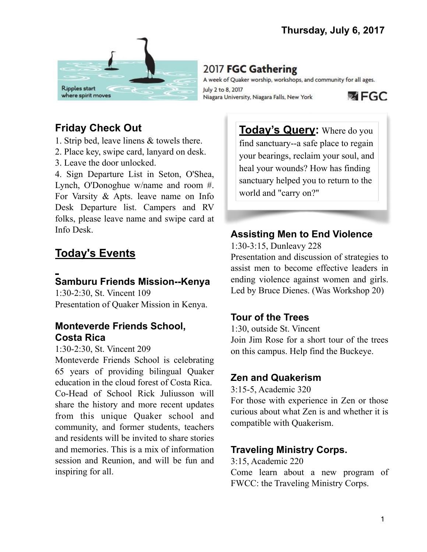

# 2017 FGC Gathering

A week of Quaker worship, workshops, and community for all ages. July 2 to 8, 2017 **函 FGC** Niagara University, Niagara Falls, New York

# **Friday Check Out**

- 1. Strip bed, leave linens & towels there.
- 2. Place key, swipe card, lanyard on desk.
- 3. Leave the door unlocked.

4. Sign Departure List in Seton, O'Shea, Lynch, O'Donoghue w/name and room #. For Varsity & Apts. leave name on Info Desk Departure list. Campers and RV folks, please leave name and swipe card at Info Desk.

# **Today's Events**

# **Samburu Friends Mission--Kenya**

1:30-2:30, St. Vincent 109 Presentation of Quaker Mission in Kenya.

#### **Monteverde Friends School, Costa Rica**

#### 1:30-2:30, St. Vincent 209

Monteverde Friends School is celebrating 65 years of providing bilingual Quaker education in the cloud forest of Costa Rica. Co-Head of School Rick Juliusson will share the history and more recent updates from this unique Quaker school and community, and former students, teachers and residents will be invited to share stories and memories. This is a mix of information session and Reunion, and will be fun and inspiring for all.

**Today's Query:** Where do you find sanctuary--a safe place to regain your bearings, reclaim your soul, and heal your wounds? How has finding sanctuary helped you to return to the world and "carry on?"

## **Assisting Men to End Violence**

1:30-3:15, Dunleavy 228

Presentation and discussion of strategies to assist men to become effective leaders in ending violence against women and girls. Led by Bruce Dienes. (Was Workshop 20)

## **Tour of the Trees**

1:30, outside St. Vincent Join Jim Rose for a short tour of the trees on this campus. Help find the Buckeye.

### **Zen and Quakerism**

3:15-5, Academic 320

For those with experience in Zen or those curious about what Zen is and whether it is compatible with Quakerism.

## **Traveling Ministry Corps.**

3:15, Academic 220 Come learn about a new program of FWCC: the Traveling Ministry Corps.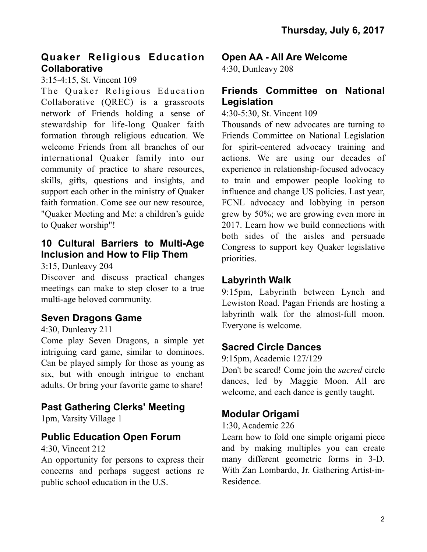### **Quaker Religious Education Collaborative**

3:15-4:15, St. Vincent 109

The Quaker Religious Education Collaborative (QREC) is a grassroots network of Friends holding a sense of stewardship for life-long Quaker faith formation through religious education. We welcome Friends from all branches of our international Quaker family into our community of practice to share resources, skills, gifts, questions and insights, and support each other in the ministry of Quaker faith formation. Come see our new resource, "Quaker Meeting and Me: a children's guide to Quaker worship"!

### **10 Cultural Barriers to Multi-Age Inclusion and How to Flip Them**

3:15, Dunleavy 204

Discover and discuss practical changes meetings can make to step closer to a true multi-age beloved community.

## **Seven Dragons Game**

#### 4:30, Dunleavy 211

Come play Seven Dragons, a simple yet intriguing card game, similar to dominoes. Can be played simply for those as young as six, but with enough intrigue to enchant adults. Or bring your favorite game to share!

## **Past Gathering Clerks' Meeting**

1pm, Varsity Village 1

### **Public Education Open Forum**

4:30, Vincent 212

An opportunity for persons to express their concerns and perhaps suggest actions re public school education in the U.S.

### **Open AA - All Are Welcome**

4:30, Dunleavy 208

### **Friends Committee on National Legislation**

4:30-5:30, St. Vincent 109

Thousands of new advocates are turning to Friends Committee on National Legislation for spirit-centered advocacy training and actions. We are using our decades of experience in relationship-focused advocacy to train and empower people looking to influence and change US policies. Last year, FCNL advocacy and lobbying in person grew by 50%; we are growing even more in 2017. Learn how we build connections with both sides of the aisles and persuade Congress to support key Quaker legislative priorities.

### **Labyrinth Walk**

9:15pm, Labyrinth between Lynch and Lewiston Road. Pagan Friends are hosting a labyrinth walk for the almost-full moon. Everyone is welcome.

## **Sacred Circle Dances**

9:15pm, Academic 127/129

Don't be scared! Come join the *sacred* circle dances, led by Maggie Moon. All are welcome, and each dance is gently taught.

### **Modular Origami**

1:30, Academic 226

Learn how to fold one simple origami piece and by making multiples you can create many different geometric forms in 3-D. With Zan Lombardo, Jr. Gathering Artist-in-Residence.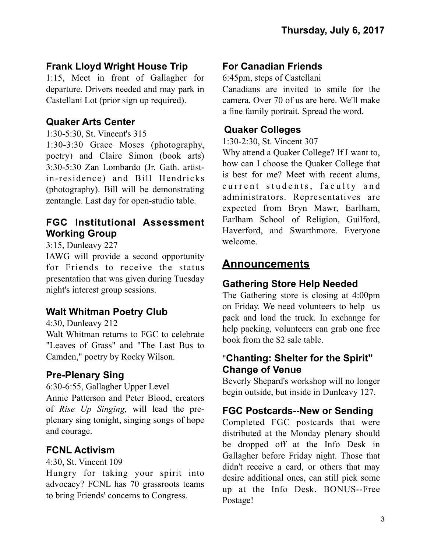# **Frank Lloyd Wright House Trip**

1:15, Meet in front of Gallagher for departure. Drivers needed and may park in Castellani Lot (prior sign up required).

## **Quaker Arts Center**

1:30-5:30, St. Vincent's 315

1:30-3:30 Grace Moses (photography, poetry) and Claire Simon (book arts) 3:30-5:30 Zan Lombardo (Jr. Gath. artistin-residence) and Bill Hendricks (photography). Bill will be demonstrating zentangle. Last day for open-studio table.

## **FGC Institutional Assessment Working Group**

## 3:15, Dunleavy 227

IAWG will provide a second opportunity for Friends to receive the status presentation that was given during Tuesday night's interest group sessions.

# **Walt Whitman Poetry Club**

4:30, Dunleavy 212

Walt Whitman returns to FGC to celebrate "Leaves of Grass" and "The Last Bus to Camden," poetry by Rocky Wilson.

# **Pre-Plenary Sing**

6:30-6:55, Gallagher Upper Level Annie Patterson and Peter Blood, creators of *Rise Up Singing,* will lead the preplenary sing tonight, singing songs of hope

# **FCNL Activism**

and courage.

4:30, St. Vincent 109

Hungry for taking your spirit into advocacy? FCNL has 70 grassroots teams to bring Friends' concerns to Congress.

# **For Canadian Friends**

6:45pm, steps of Castellani

Canadians are invited to smile for the camera. Over 70 of us are here. We'll make a fine family portrait. Spread the word.

## **Quaker Colleges**

1:30-2:30, St. Vincent 307

Why attend a Quaker College? If I want to, how can I choose the Quaker College that is best for me? Meet with recent alums, current students, faculty and administrators. Representatives are expected from Bryn Mawr, Earlham, Earlham School of Religion, Guilford, Haverford, and Swarthmore. Everyone welcome.

# **Announcements**

# **Gathering Store Help Needed**

The Gathering store is closing at 4:00pm on Friday. We need volunteers to help us pack and load the truck. In exchange for help packing, volunteers can grab one free book from the \$2 sale table.

## "**Chanting: Shelter for the Spirit" Change of Venue**

Beverly Shepard's workshop will no longer begin outside, but inside in Dunleavy 127.

# **FGC Postcards--New or Sending**

Completed FGC postcards that were distributed at the Monday plenary should be dropped off at the Info Desk in Gallagher before Friday night. Those that didn't receive a card, or others that may desire additional ones, can still pick some up at the Info Desk. BONUS--Free Postage!